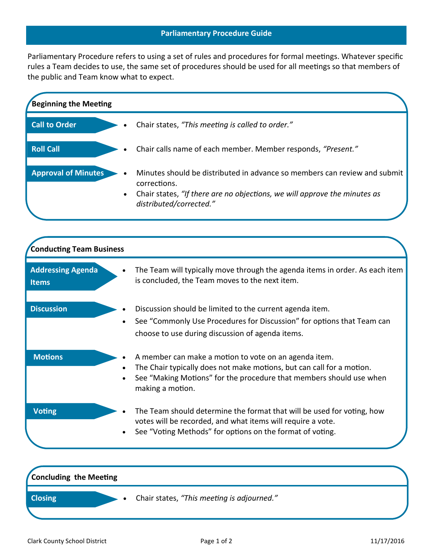# **Parliamentary Procedure Guide**

Parliamentary Procedure refers to using a set of rules and procedures for formal meetings. Whatever specific rules a Team decides to use, the same set of procedures should be used for all meetings so that members of the public and Team know what to expect.

| <b>Beginning the Meeting</b>             |                                                                                                                                                                                                                                                     |
|------------------------------------------|-----------------------------------------------------------------------------------------------------------------------------------------------------------------------------------------------------------------------------------------------------|
| <b>Call to Order</b>                     | Chair states, "This meeting is called to order."                                                                                                                                                                                                    |
| <b>Roll Call</b>                         | Chair calls name of each member. Member responds, "Present."                                                                                                                                                                                        |
| <b>Approval of Minutes</b>               | Minutes should be distributed in advance so members can review and submit<br>corrections.<br>Chair states, "If there are no objections, we will approve the minutes as<br>$\bullet$<br>distributed/corrected."                                      |
| <b>Conducting Team Business</b>          |                                                                                                                                                                                                                                                     |
| <b>Addressing Agenda</b><br><b>Items</b> | The Team will typically move through the agenda items in order. As each item<br>is concluded, the Team moves to the next item.                                                                                                                      |
| <b>Discussion</b>                        | Discussion should be limited to the current agenda item.<br>See "Commonly Use Procedures for Discussion" for options that Team can<br>٠<br>choose to use during discussion of agenda items.                                                         |
| <b>Motions</b>                           | A member can make a motion to vote on an agenda item.<br>The Chair typically does not make motions, but can call for a motion.<br>$\bullet$<br>See "Making Motions" for the procedure that members should use when<br>$\bullet$<br>making a motion. |
| Voting                                   | The Team should determine the format that will be used for voting, how<br>votes will be recorded, and what items will require a vote.<br>See "Voting Methods" for options on the format of voting.                                                  |
| <b>Concluding the Meeting</b>            |                                                                                                                                                                                                                                                     |
| <b>Closing</b>                           | Chair states, "This meeting is adjourned."                                                                                                                                                                                                          |